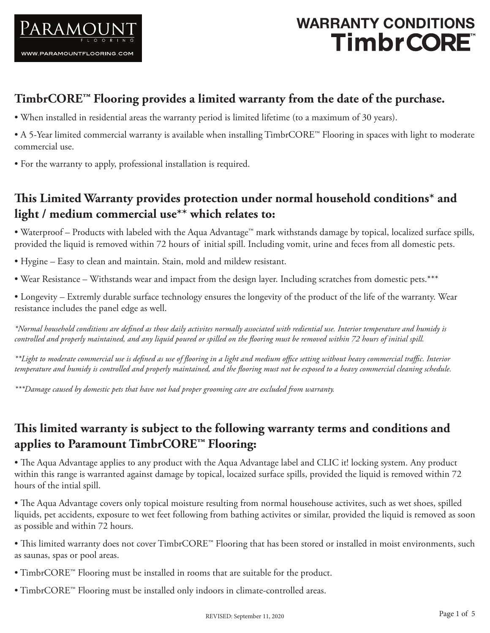

# WARRANTY CONDITIONS<br>"Timbr**CORE**

## **TimbrCORE™ Flooring provides a limited warranty from the date of the purchase.**

- When installed in residential areas the warranty period is limited lifetime (to a maximum of 30 years).
- A 5-Year limited commercial warranty is available when installing TimbrCORE™ Flooring in spaces with light to moderate commercial use.
- For the warranty to apply, professional installation is required.

## **This Limited Warranty provides protection under normal household conditions\* and light / medium commercial use\*\* which relates to:**

• Waterproof – Products with labeled with the Aqua Advantage™ mark withstands damage by topical, localized surface spills, provided the liquid is removed within 72 hours of initial spill. Including vomit, urine and feces from all domestic pets.

- Hygine Easy to clean and maintain. Stain, mold and mildew resistant.
- Wear Resistance Withstands wear and impact from the design layer. Including scratches from domestic pets.\*\*\*

• Longevity – Extremly durable surface technology ensures the longevity of the product of the life of the warranty. Wear resistance includes the panel edge as well.

*\*Normal household conditions are defined as those daily activites normally associated with rediential use. Interior temperature and humidy is controlled and properly maintained, and any liquid poured or spilled on the flooring must be removed within 72 hours of initial spill.*

*\*\*Light to moderate commercial use is defined as use of flooring in a light and medium office setting without heavy commercial traffic. Interior temperature and humidy is controlled and properly maintained, and the flooring must not be exposed to a heavy commercial cleaning schedule.*

*\*\*\*Damage caused by domestic pets that have not had proper grooming care are excluded from warranty.*

## **This limited warranty is subject to the following warranty terms and conditions and applies to Paramount TimbrCORE™ Flooring:**

• The Aqua Advantage applies to any product with the Aqua Advantage label and CLIC it! locking system. Any product within this range is warranted against damage by topical, locaized surface spills, provided the liquid is removed within 72 hours of the intial spill.

• The Aqua Advantage covers only topical moisture resulting from normal househouse activites, such as wet shoes, spilled liquids, pet accidents, exposure to wet feet following from bathing activites or similar, provided the liquid is removed as soon as possible and within 72 hours.

• This limited warranty does not cover TimbrCORE™ Flooring that has been stored or installed in moist environments, such as saunas, spas or pool areas.

- TimbrCORE™ Flooring must be installed in rooms that are suitable for the product.
- TimbrCORE™ Flooring must be installed only indoors in climate-controlled areas.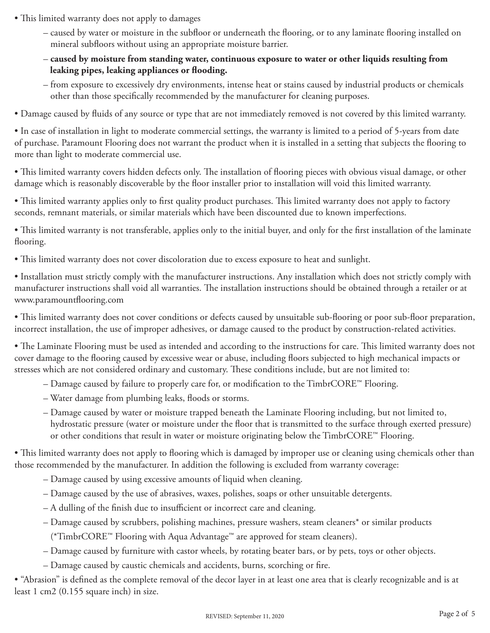- This limited warranty does not apply to damages
	- caused by water or moisture in the subfloor or underneath the flooring, or to any laminate flooring installed on mineral subfloors without using an appropriate moisture barrier.
	- **caused by moisture from standing water, continuous exposure to water or other liquids resulting from leaking pipes, leaking appliances or flooding.**
	- from exposure to excessively dry environments, intense heat or stains caused by industrial products or chemicals other than those specifically recommended by the manufacturer for cleaning purposes.
- Damage caused by fluids of any source or type that are not immediately removed is not covered by this limited warranty.

• In case of installation in light to moderate commercial settings, the warranty is limited to a period of 5-years from date of purchase. Paramount Flooring does not warrant the product when it is installed in a setting that subjects the flooring to more than light to moderate commercial use.

• This limited warranty covers hidden defects only. The installation of flooring pieces with obvious visual damage, or other damage which is reasonably discoverable by the floor installer prior to installation will void this limited warranty.

• This limited warranty applies only to first quality product purchases. This limited warranty does not apply to factory seconds, remnant materials, or similar materials which have been discounted due to known imperfections.

• This limited warranty is not transferable, applies only to the initial buyer, and only for the first installation of the laminate flooring.

• This limited warranty does not cover discoloration due to excess exposure to heat and sunlight.

• Installation must strictly comply with the manufacturer instructions. Any installation which does not strictly comply with manufacturer instructions shall void all warranties. The installation instructions should be obtained through a retailer or at www.paramountflooring.com

• This limited warranty does not cover conditions or defects caused by unsuitable sub-flooring or poor sub-floor preparation, incorrect installation, the use of improper adhesives, or damage caused to the product by construction-related activities.

• The Laminate Flooring must be used as intended and according to the instructions for care. This limited warranty does not cover damage to the flooring caused by excessive wear or abuse, including floors subjected to high mechanical impacts or stresses which are not considered ordinary and customary. These conditions include, but are not limited to:

- Damage caused by failure to properly care for, or modification to the TimbrCORE™ Flooring.
- Water damage from plumbing leaks, floods or storms.
- Damage caused by water or moisture trapped beneath the Laminate Flooring including, but not limited to, hydrostatic pressure (water or moisture under the floor that is transmitted to the surface through exerted pressure) or other conditions that result in water or moisture originating below the TimbrCORE™ Flooring.

• This limited warranty does not apply to flooring which is damaged by improper use or cleaning using chemicals other than those recommended by the manufacturer. In addition the following is excluded from warranty coverage:

- Damage caused by using excessive amounts of liquid when cleaning.
- Damage caused by the use of abrasives, waxes, polishes, soaps or other unsuitable detergents.
- A dulling of the finish due to insufficient or incorrect care and cleaning.
- Damage caused by scrubbers, polishing machines, pressure washers, steam cleaners\* or similar products (\*TimbrCORE™ Flooring with Aqua Advantage™ are approved for steam cleaners).
- Damage caused by furniture with castor wheels, by rotating beater bars, or by pets, toys or other objects.
- Damage caused by caustic chemicals and accidents, burns, scorching or fire.

• "Abrasion" is defined as the complete removal of the decor layer in at least one area that is clearly recognizable and is at least 1 cm2 (0.155 square inch) in size.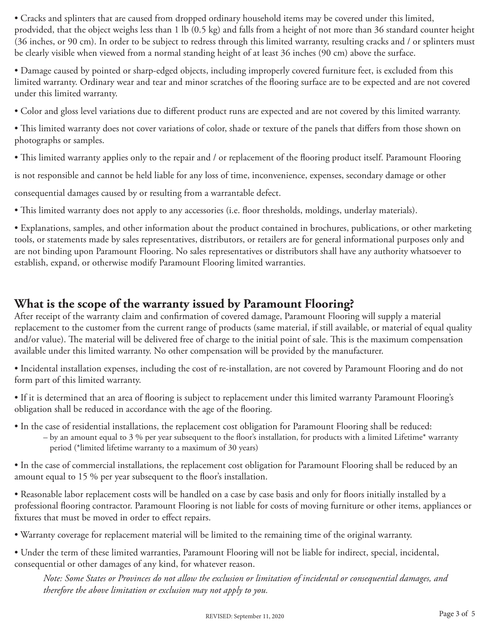• Cracks and splinters that are caused from dropped ordinary household items may be covered under this limited, prodvided, that the object weighs less than 1 lb (0.5 kg) and falls from a height of not more than 36 standard counter height (36 inches, or 90 cm). In order to be subject to redress through this limited warranty, resulting cracks and / or splinters must be clearly visible when viewed from a normal standing height of at least 36 inches (90 cm) above the surface.

• Damage caused by pointed or sharp-edged objects, including improperly covered furniture feet, is excluded from this limited warranty. Ordinary wear and tear and minor scratches of the flooring surface are to be expected and are not covered under this limited warranty.

• Color and gloss level variations due to different product runs are expected and are not covered by this limited warranty.

• This limited warranty does not cover variations of color, shade or texture of the panels that differs from those shown on photographs or samples.

• This limited warranty applies only to the repair and / or replacement of the flooring product itself. Paramount Flooring

is not responsible and cannot be held liable for any loss of time, inconvenience, expenses, secondary damage or other

consequential damages caused by or resulting from a warrantable defect.

• This limited warranty does not apply to any accessories (i.e. floor thresholds, moldings, underlay materials).

• Explanations, samples, and other information about the product contained in brochures, publications, or other marketing tools, or statements made by sales representatives, distributors, or retailers are for general informational purposes only and are not binding upon Paramount Flooring. No sales representatives or distributors shall have any authority whatsoever to establish, expand, or otherwise modify Paramount Flooring limited warranties.

## **What is the scope of the warranty issued by Paramount Flooring?**

After receipt of the warranty claim and confirmation of covered damage, Paramount Flooring will supply a material replacement to the customer from the current range of products (same material, if still available, or material of equal quality and/or value). The material will be delivered free of charge to the initial point of sale. This is the maximum compensation available under this limited warranty. No other compensation will be provided by the manufacturer.

• Incidental installation expenses, including the cost of re-installation, are not covered by Paramount Flooring and do not form part of this limited warranty.

• If it is determined that an area of flooring is subject to replacement under this limited warranty Paramount Flooring's obligation shall be reduced in accordance with the age of the flooring.

- In the case of residential installations, the replacement cost obligation for Paramount Flooring shall be reduced:
	- by an amount equal to 3 % per year subsequent to the floor's installation, for products with a limited Lifetime\* warranty period (\*limited lifetime warranty to a maximum of 30 years)

• In the case of commercial installations, the replacement cost obligation for Paramount Flooring shall be reduced by an amount equal to 15 % per year subsequent to the floor's installation.

• Reasonable labor replacement costs will be handled on a case by case basis and only for floors initially installed by a professional flooring contractor. Paramount Flooring is not liable for costs of moving furniture or other items, appliances or fixtures that must be moved in order to effect repairs.

• Warranty coverage for replacement material will be limited to the remaining time of the original warranty.

• Under the term of these limited warranties, Paramount Flooring will not be liable for indirect, special, incidental, consequential or other damages of any kind, for whatever reason.

*Note: Some States or Provinces do not allow the exclusion or limitation of incidental or consequential damages, and therefore the above limitation or exclusion may not apply to you.*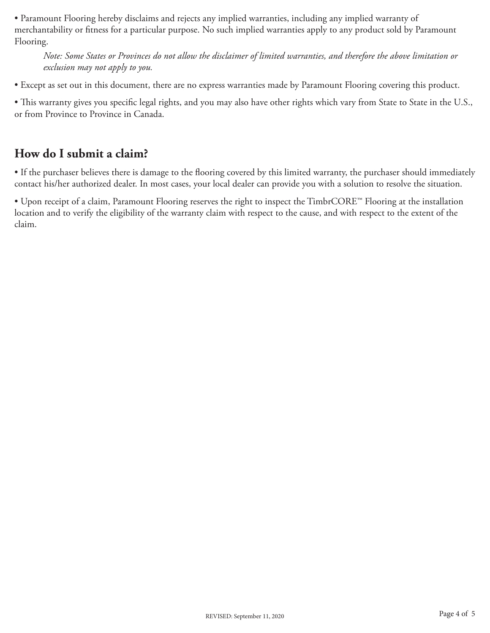• Paramount Flooring hereby disclaims and rejects any implied warranties, including any implied warranty of merchantability or fitness for a particular purpose. No such implied warranties apply to any product sold by Paramount Flooring.

*Note: Some States or Provinces do not allow the disclaimer of limited warranties, and therefore the above limitation or exclusion may not apply to you.*

• Except as set out in this document, there are no express warranties made by Paramount Flooring covering this product.

• This warranty gives you specific legal rights, and you may also have other rights which vary from State to State in the U.S., or from Province to Province in Canada.

## **How do I submit a claim?**

• If the purchaser believes there is damage to the flooring covered by this limited warranty, the purchaser should immediately contact his/her authorized dealer. In most cases, your local dealer can provide you with a solution to resolve the situation.

• Upon receipt of a claim, Paramount Flooring reserves the right to inspect the TimbrCORE™ Flooring at the installation location and to verify the eligibility of the warranty claim with respect to the cause, and with respect to the extent of the claim.